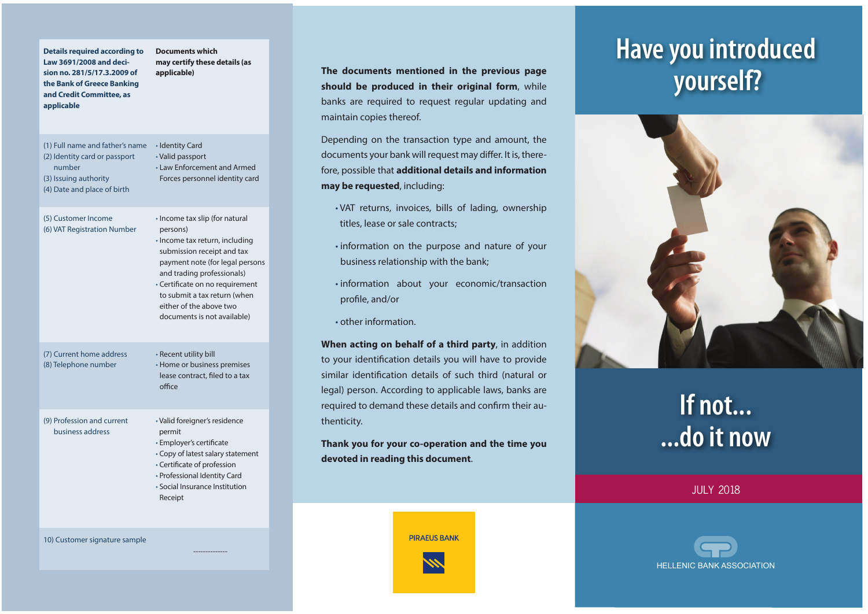| <b>Details required according to</b><br>Law 3691/2008 and deci-<br>sion no. 281/5/17.3.2009 of<br>the Bank of Greece Banking<br>and Credit Committee, as<br>applicable | <b>Documents which</b><br>may certify these details (as<br>applicable)                                                                                                                                                                                                                                   |
|------------------------------------------------------------------------------------------------------------------------------------------------------------------------|----------------------------------------------------------------------------------------------------------------------------------------------------------------------------------------------------------------------------------------------------------------------------------------------------------|
| (1) Full name and father's name<br>(2) Identity card or passport<br>number<br>(3) Issuing authority<br>(4) Date and place of birth                                     | · Identity Card<br>• Valid passport<br>• Law Enforcement and Armed<br>Forces personnel identity card                                                                                                                                                                                                     |
| (5) Customer Income<br>(6) VAT Registration Number                                                                                                                     | • Income tax slip (for natural<br>persons)<br>· Income tax return, including<br>submission receipt and tax<br>payment note (for legal persons<br>and trading professionals)<br>· Certificate on no requirement<br>to submit a tax return (when<br>either of the above two<br>documents is not available) |
| (7) Current home address<br>(8) Telephone number                                                                                                                       | · Recent utility bill<br>• Home or business premises<br>lease contract, filed to a tax<br>office                                                                                                                                                                                                         |
| (9) Profession and current<br>business address                                                                                                                         | · Valid foreigner's residence<br>permit<br>· Employer's certificate<br>• Copy of latest salary statement<br>• Certificate of profession<br>• Professional Identity Card<br>· Social Insurance Institution<br>Receipt                                                                                     |

--------------

10) Customer signature sample

**The documents mentioned in the previous page should be produced in their original form**, while banks are required to request regular updating and maintain copies thereof.

Depending on the transaction type and amount, the documents your bank will request may differ. It is, therefore, possible that **additional details and information may be requested**, including:

- VAT returns, invoices, bills of lading, ownership titles, lease or sale contracts;
- information on the purpose and nature of your business relationship with the bank;
- information about your economic/transaction profile, and/or
- other information.

**When acting on behalf of a third party**, in addition to your identification details you will have to provide similar identification details of such third (natural or legal) person. According to applicable laws, banks are required to demand these details and confirm their authenticity.

**Thank you for your co-operation and the time you devoted in reading this document**.

**PIRAEUS BANK** 

## **Have you introduced yourself?**



# **If not... ...do it now**

JULY 2018